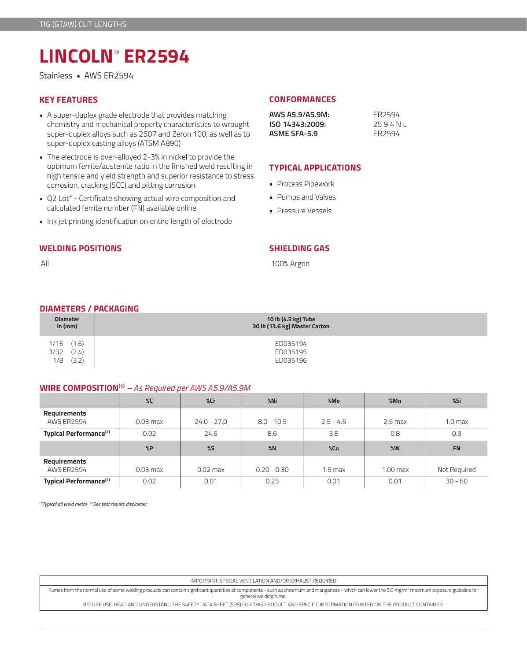# **LINCOLN**®  **ER2594**

Stainless • AWS ER2594

- A super-duplex grade electrode that provides matching chemistry and mechanical property characteristics to wrought super-duplex alloys such as 2507 and Zeron 100, as well as to super-duplex casting alloys (ATSM A890)
- The electrode is over-alloyed 2-3% in nickel to provide the optimum ferrite/austenite ratio in the finished weld resulting in high tensile and yield strength and superior resistance to stress corrosion, cracking (SCC) and pitting corrosion
- Q2 Lot® Certificate showing actual wire composition and calculated ferrite number (FN) available online
- Ink jet printing identification on entire length of electrode

### **WELDING POSITIONS**

All

# **KEY FEATURES CONFORMANCES**

| AWS A5.9/A5.9M: | FR <sub>2594</sub> |
|-----------------|--------------------|
| ISO 14343:2009: | 2594NI             |
| ASME SFA-5.9    | FR2594             |

## **TYPICAL APPLICATIONS**

- Process Pipework
- Pumps and Valves
- Pressure Vessels

### **SHIELDING GAS**

100% Argon

#### **DIAMETERS / PACKAGING**

| <b>Diameter</b>                                | 10 lb (4.5 kg) Tube              |
|------------------------------------------------|----------------------------------|
| in $(mm)$                                      | 30 lb (13.6 kg) Master Carton    |
| (1.6)<br>1/16<br>(2.4)<br>3/32<br>(3.2)<br>1/8 | ED035194<br>ED035195<br>ED035196 |

#### **WIRE COMPOSITION(1)** *– As Required per AWS A5.9/A5.9M*

|                                          | $\%C$      | %cr           | $%$ Ni        | %Mo         | %Mn        | %Si                |
|------------------------------------------|------------|---------------|---------------|-------------|------------|--------------------|
| <b>Requirements</b><br><b>AWS ER2594</b> | $0.03$ max | $24.0 - 27.0$ | $8.0 - 10.5$  | $2.5 - 4.5$ | $2.5$ max  | 1.0 <sub>max</sub> |
| Typical Performance <sup>(2)</sup>       | 0.02       | 24.6          | 8.6           | 3.8         | 0.8        | 0.3                |
|                                          |            |               |               |             |            |                    |
|                                          | %P         | $\%$          | %N            | %Cu         | %W         | <b>FN</b>          |
| <b>Requirements</b><br><b>AWS ER2594</b> | $0.03$ max | $0.02$ max    | $0.20 - 0.30$ | 1.5 max     | $1.00$ max | Not Required       |

*(1)Typical all weld metal. (2)See test results disclaimer* 

IMPORTANT: SPECIAL VENTILATION AND/OR EXHAUST REQUIRED

Fumes from the normal use of some welding products can contain significant quantities of components - such as chromium and manganese - which can lower the 5.0 mg/m3 maximum exposure guideline for general welding fume.

BEFORE USE, READ AND UNDERSTAND THE SAFETY DATA SHEET (SDS) FOR THIS PRODUCT AND SPECIFIC INFORMATION PRINTED ON THE PRODUCT CONTAINER.